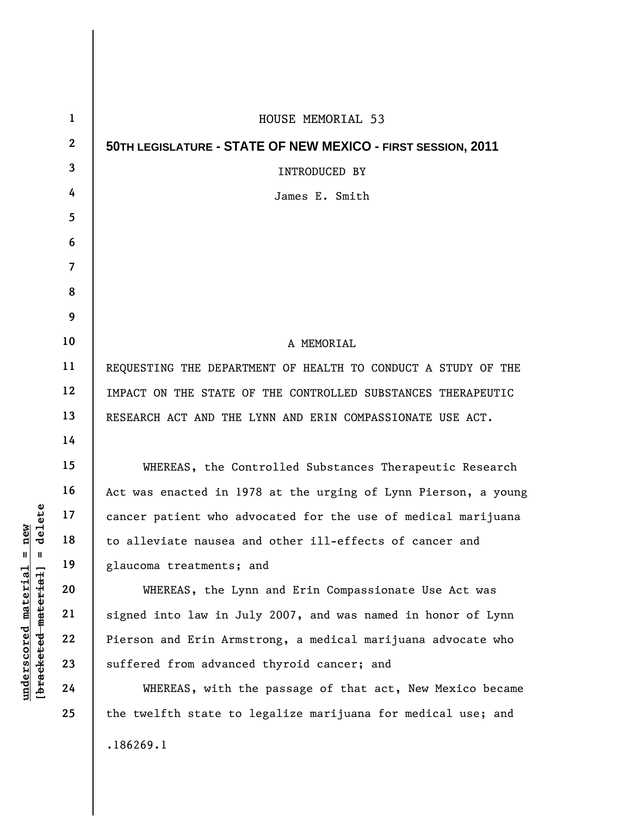| $\mathbf{1}$     | HOUSE MEMORIAL 53                                              |
|------------------|----------------------------------------------------------------|
| $\boldsymbol{2}$ | 50TH LEGISLATURE - STATE OF NEW MEXICO - FIRST SESSION, 2011   |
| 3                | INTRODUCED BY                                                  |
| 4                | James E. Smith                                                 |
| 5                |                                                                |
| 6                |                                                                |
| $\overline{7}$   |                                                                |
| 8                |                                                                |
| 9                |                                                                |
| 10               | A MEMORIAL                                                     |
| 11               | REQUESTING THE DEPARTMENT OF HEALTH TO CONDUCT A STUDY OF THE  |
| 12               | IMPACT ON THE STATE OF THE CONTROLLED SUBSTANCES THERAPEUTIC   |
| 13               | RESEARCH ACT AND THE LYNN AND ERIN COMPASSIONATE USE ACT.      |
| 14               |                                                                |
| 15               | WHEREAS, the Controlled Substances Therapeutic Research        |
| 16               | Act was enacted in 1978 at the urging of Lynn Pierson, a young |
| 17               | cancer patient who advocated for the use of medical marijuana  |
| 18               | to alleviate nausea and other ill-effects of cancer and        |
| 19               | glaucoma treatments; and                                       |
| 20               | WHEREAS, the Lynn and Erin Compassionate Use Act was           |
| 21               | signed into law in July 2007, and was named in honor of Lynn   |
| 22               | Pierson and Erin Armstrong, a medical marijuana advocate who   |
| 23               | suffered from advanced thyroid cancer; and                     |
| 24               | WHEREAS, with the passage of that act, New Mexico became       |
| 25               | the twelfth state to legalize marijuana for medical use; and   |
|                  | .186269.1                                                      |

 $[**bracket**et~~eted matcherial~~] = **delete**$ **[bracketed material] = delete**  $underscored material = new$ **underscored material = new**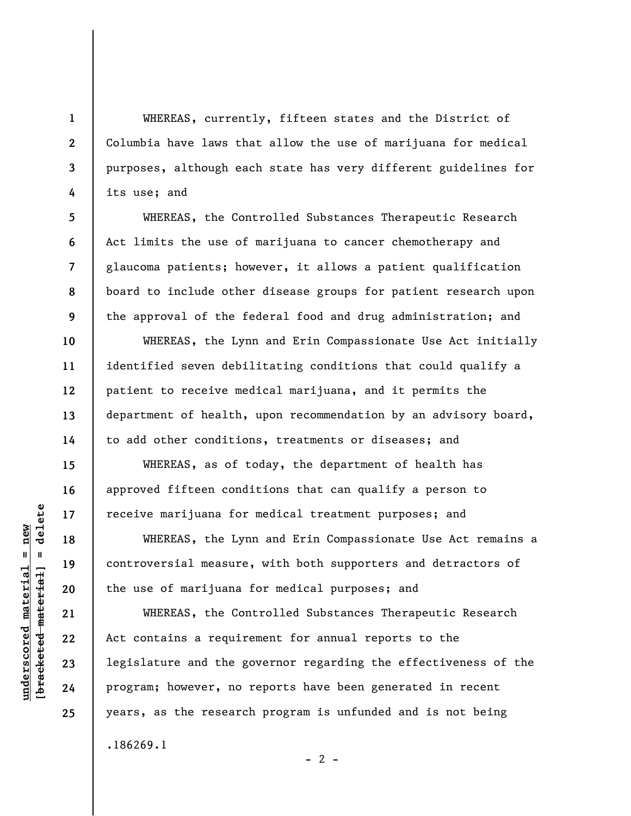WHEREAS, currently, fifteen states and the District of Columbia have laws that allow the use of marijuana for medical purposes, although each state has very different guidelines for its use; and

WHEREAS, the Controlled Substances Therapeutic Research Act limits the use of marijuana to cancer chemotherapy and glaucoma patients; however, it allows a patient qualification board to include other disease groups for patient research upon the approval of the federal food and drug administration; and

WHEREAS, the Lynn and Erin Compassionate Use Act initially identified seven debilitating conditions that could qualify a patient to receive medical marijuana, and it permits the department of health, upon recommendation by an advisory board, to add other conditions, treatments or diseases; and

WHEREAS, as of today, the department of health has approved fifteen conditions that can qualify a person to receive marijuana for medical treatment purposes; and

WHEREAS, the Lynn and Erin Compassionate Use Act remains a controversial measure, with both supporters and detractors of the use of marijuana for medical purposes; and

WHEREAS, the Controlled Substances Therapeutic Research Act contains a requirement for annual reports to the legislature and the governor regarding the effectiveness of the program; however, no reports have been generated in recent years, as the research program is unfunded and is not being .186269.1

 $- 2 -$ 

**1** 

**2** 

**3** 

**4** 

**5** 

**6** 

**7** 

**8** 

**9** 

**10** 

**11** 

**12** 

**13** 

**14** 

**15** 

**16** 

**17** 

**18** 

**19** 

**20** 

**21** 

**22** 

**23** 

**24** 

**25**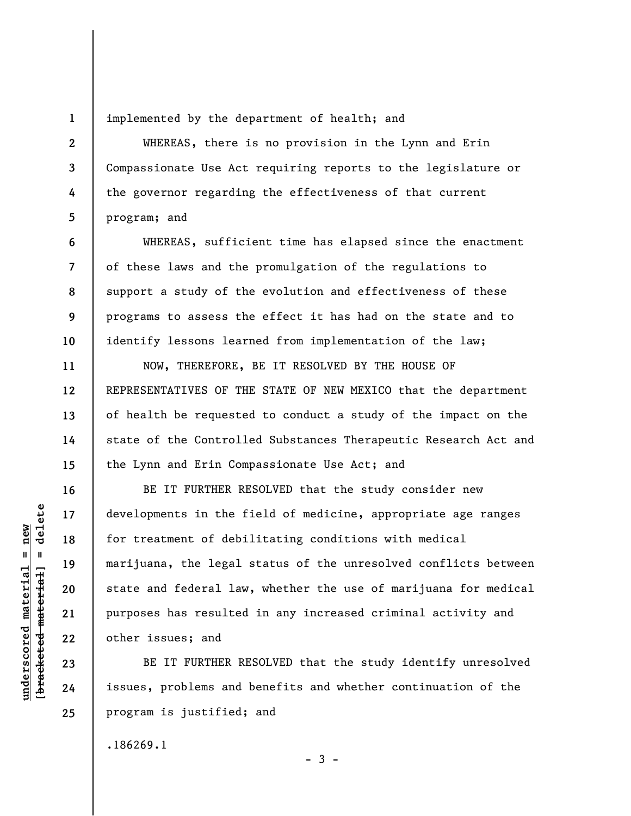**1** 

**2** 

**3** 

**4** 

**5** 

**6** 

**7** 

**8** 

**9** 

**10** 

**11** 

**12** 

**13** 

**14** 

**15** 

**16** 

**17** 

**18** 

**19** 

**20** 

**21** 

**22** 

**23** 

**24** 

**25** 

implemented by the department of health; and

WHEREAS, there is no provision in the Lynn and Erin Compassionate Use Act requiring reports to the legislature or the governor regarding the effectiveness of that current program; and

WHEREAS, sufficient time has elapsed since the enactment of these laws and the promulgation of the regulations to support a study of the evolution and effectiveness of these programs to assess the effect it has had on the state and to identify lessons learned from implementation of the law;

NOW, THEREFORE, BE IT RESOLVED BY THE HOUSE OF REPRESENTATIVES OF THE STATE OF NEW MEXICO that the department of health be requested to conduct a study of the impact on the state of the Controlled Substances Therapeutic Research Act and the Lynn and Erin Compassionate Use Act; and

BE IT FURTHER RESOLVED that the study consider new developments in the field of medicine, appropriate age ranges for treatment of debilitating conditions with medical marijuana, the legal status of the unresolved conflicts between state and federal law, whether the use of marijuana for medical purposes has resulted in any increased criminal activity and other issues; and

BE IT FURTHER RESOLVED that the study identify unresolved issues, problems and benefits and whether continuation of the program is justified; and

 $-3 -$ 

.186269.1

 $\frac{1}{2}$  intereted material = delete **[bracketed material] = delete**  $underscored material = new$ **underscored material = new**